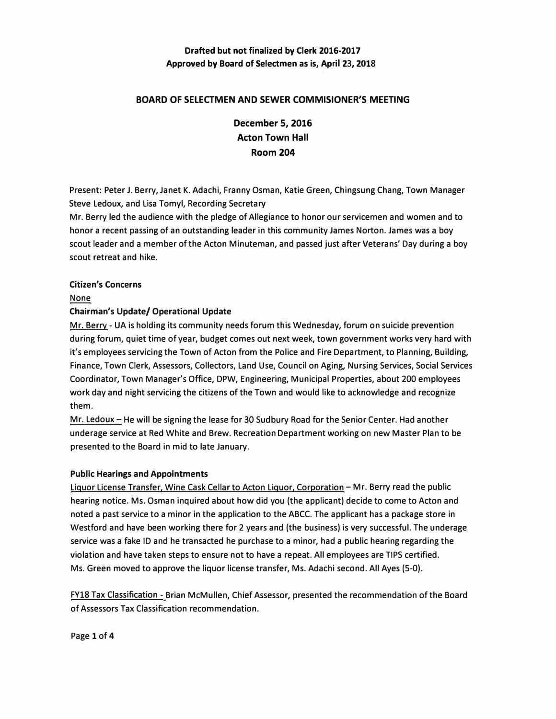# **Drafted but not finalized by Clerk 2016-2017 Approved by Board of Selectmen as is, April 23, 2018**

## **BOARD OF SELECTMEN AND SEWER COMMISIONER'S MEETING**

**December 5, 2016 Acton Town Hall Room 204**

**Present: Peter J. Berry, Janet K. Adachi, Franny Osman, Katie Green, Chingsung Chang, Town Manager Steve Ledoux, and Lisa Tomyl, Recording Secretary** 

**Mr. Berry led the audience with the pledge of Allegiance to honor our servicemen and women and to honor a recent passing of an outstanding leader in this community James Norton. James was a boy scout leader and a member of the Acton Minuteman, and passed just after Veterans' Day during a boy scout retreat and hike.** 

## **Citizen's Concerns**

**None** 

## **Chairman's Update/ Operational Update**

**Mr. Berry - UA is holding its community needs forum this Wednesday, forum on suicide prevention during forum, quiet time of year, budget comes out next week, town government works very hard with it's employees servicing the Town of Acton from the Police and Fire Department, to Planning, Building, Finance, Town Clerk, Assessors, Collectors, Land Use, Council on Aging, Nursing Services, Social Services Coordinator, Town Manager's Office, DPW, Engineering, Municipal Properties, about 200 employees work day and night servicing the citizens of the Town and would like to acknowledge and recognize them.** 

**Mr. Ledoux- He will be signing the lease for 30 Sudbury Road for the Senior Center. Had another underage service at Red White and Brew. Recreation Department working on new Master Plan to be presented to the Board in mid to late January.**

### **Public Hearings and Appointments**

**Liquor License Transfer. Wine Cask Cellar to Acton Liquor. Corporation- Mr. Berry read the public hearing notice. Ms. Osman inquired about how did you (the applicant) decide to come to Acton and noted a past service to a minor in the application to the ABCC. The applicant has a package store in Westford and have been working there for 2 years and (the business) is very successful. The underage service was a fake ID and he transacted he purchase to a minor, had a public hearing regarding the violation and have taken steps to ensure not to have a repeat. All employees are TIPS certified. Ms. Green moved to approve the liquor license transfer, Ms. Adachi second. All Ayes {5-0).** 

**FY18 Tax Classification - Brian McMullen, Chief Assessor, presented the recommendation of the Board of Assessors Tax Classification recommendation.** 

**Page 1 of4**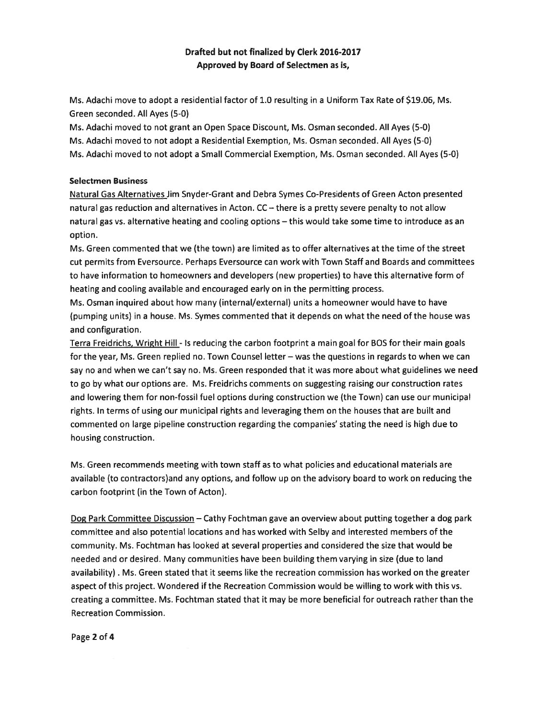## Drafted but not finalized by Clerk 2016-2017 Approved by Board of Selectmen as is,

Ms. Adachi move to adopt <sup>a</sup> residential factor of 1.0 resulting in <sup>a</sup> Uniform Tax Rate of \$19.06, Ms. Green seconded. All Ayes (5-0)

Ms. Adachi moved to not gran<sup>t</sup> an Open Space Discount, Ms. Osman seconded. All Ayes (5-0) Ms. Adachi moved to not adopt <sup>a</sup> Residential Exemption, Ms. Osman seconded. All Ayes (5-0) Ms. Adachi moved to not adopt a Small Commercial Exemption, Ms. Osman seconded. All Ayes (5-0)

## Selectmen Business

Natural Gas Alternatives Jim Snyder-Grant and Debra Symes Co-Presidents of Green Acton presented natural gas reduction and alternatives in Acton. CC — there is <sup>a</sup> pretty severe penalty to not allow natural gas vs. alternative heating and cooling options — this would take some time to introduce as an option.

Ms. Green commented that we (the town) are limited as to offer alternatives at the time of the street cut permits from Eversource. Perhaps Eversource can work with Town Staff and Boards and committees to have information to homeowners and developers (new properties) to have this alternative form of heating and cooling available and encouraged early on in the permitting process.

Ms. Osman inquired about how many (internal/external) units <sup>a</sup> homeowner would have to have (pumping units) in <sup>a</sup> house. Ms. Symes commented that it depends on what the need of the house was and configuration.

Terra Freidrichs, Wright Hill - Is reducing the carbon footprint <sup>a</sup> main goal for BOS for their main goals for the year, Ms. Green replied no. Town Counsel letter — was the questions in regards to when we can say no and when we can't say no. Ms. Green responded that it was more about what guidelines we need to go by what our options are. Ms. Freidrichs comments on suggesting raising our construction rates and lowering them for non-fossil fuel options during construction we (the Town) can use our municipal rights. In terms of using our municipal rights and leveraging them on the houses that are built and commented on large pipeline construction regarding the companies' stating the need is high due to housing construction.

Ms. Green recommends meeting with town staff as to what policies and educational materials are available (to contractors)and any options, and follow up on the advisory board to work on reducing the carbon footprint (in the Town of Acton).

Dog Park Committee Discussion — Cathy Fochtman gave an overview about putting together <sup>a</sup> dog park committee and also potential locations and has worked with Selby and interested members of the community. Ms. Fochtman has looked at several properties and considered the size that would be needed and or desired. Many communities have been building them varying in size (due to land availability) . Ms. Green stated that it seems like the recreation commission has worked on the greater aspec<sup>t</sup> of this project. Wondered if the Recreation Commission would be willing to work with this vs. creating <sup>a</sup> committee. Ms. Fochtman stated that it may be more beneficial for outreach rather than the Recreation Commission.

Page 2 of 4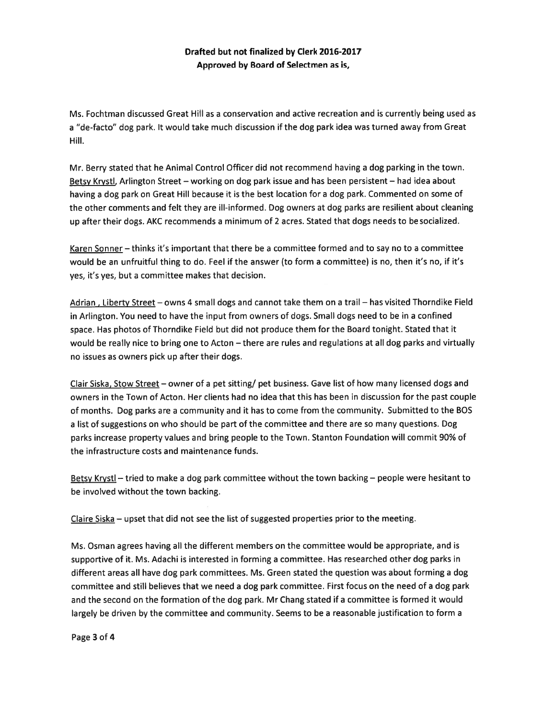## Drafted but not finalized by Clerk 2016-2017 Approved by Board of Selectmen as is,

Ms. Fochtman discussed Great Hill as <sup>a</sup> conservation and active recreation and is currently being used as <sup>a</sup> "de-facto" dog park. It would take much discussion if the dog par<sup>k</sup> idea was turned away from Great Hill.

Mr. Berry stated that he Animal Control Officer did not recommend having <sup>a</sup> dog parking in the town. Betsy Krystl, Arlington Street — working on dog par<sup>k</sup> issue and has been persistent — had idea about having <sup>a</sup> dog park on Great Hill because it is the best location for <sup>a</sup> dog park. Commented on some of the other comments and felt they are ill-informed. Dog owners at dog parks are resilient about cleaning up after their dogs. AKC recommends <sup>a</sup> minimum of 2 acres. Stated that dogs needs to besocialized.

Karen Sonner – thinks it's important that there be a committee formed and to say no to a committee would be an unfruitful thing to do. Feel if the answer (to form <sup>a</sup> committee) is no, then it's no, if it's yes, it's yes, but <sup>a</sup> committee makes that decision.

Adrian , Liberty Street — owns 4 small dogs and cannot take them on <sup>a</sup> trail — has visited Thorndike Field in Arlington. You need to have the input from owners of dogs. Small dogs need to be in <sup>a</sup> confined space. Has <sup>p</sup>hotos of Thorndike Field but did not produce them for the Board tonight. Stated that it would be really nice to bring one to Acton — there are rules and regulations at all dog parks and virtually no issues as owners pick up after their dogs.

Clair Siska, Stow Street - owner of a pet sitting/ pet business. Gave list of how many licensed dogs and owners in the Town of Acton. Her clients had no idea that this has been in discussion for the pas<sup>t</sup> couple of months. Dog parks are <sup>a</sup> community and it has to come from the community. Submitted to the BOS <sup>a</sup> list of suggestions on who should be par<sup>t</sup> of the committee and there are so many questions. Dog parks increase property values and bring people to the Town. Stanton Foundation will commit 90% of the infrastructure costs and maintenance funds.

Betsy Krystl - tried to make a dog park committee without the town backing - people were hesitant to be involved without the town backing.

Claire Siska — upse<sup>t</sup> that did not see the list of suggested properties prior to the meeting.

Ms. Osman agrees having all the different members on the committee would be appropriate, and is supportive of it. Ms. Adachi is interested in forming <sup>a</sup> committee. Has researched other dog parks in different areas all have dog park committees. Ms. Green stated the question was about forming <sup>a</sup> dog committee and still believes that we need <sup>a</sup> dog park committee. First focus on the need of <sup>a</sup> dog park and the second on the formation of the dog park. Mr Chang stated if <sup>a</sup> committee is formed it would largely be driven by the committee and community. Seems to be <sup>a</sup> reasonable justification to form <sup>a</sup>

Page3of4